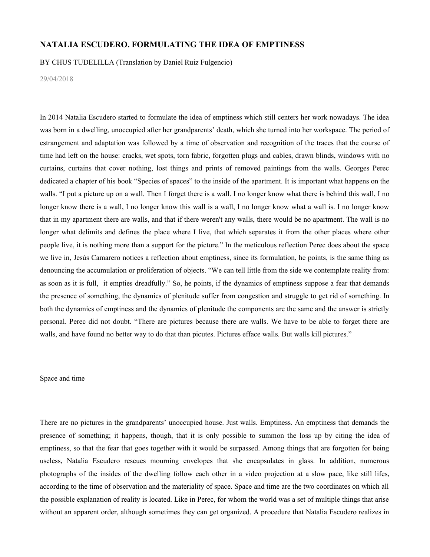## **NATALIA ESCUDERO. FORMULATING THE IDEA OF EMPTINESS**

BY CHUS TUDELILLA (Translation by Daniel Ruiz Fulgencio)

29/04/2018

In 2014 Natalia Escudero started to formulate the idea of emptiness which still centers her work nowadays. The idea was born in a dwelling, unoccupied after her grandparents' death, which she turned into her workspace. The period of estrangement and adaptation was followed by a time of observation and recognition of the traces that the course of time had left on the house: cracks, wet spots, torn fabric, forgotten plugs and cables, drawn blinds, windows with no curtains, curtains that cover nothing, lost things and prints of removed paintings from the walls. Georges Perec dedicated a chapter of his book "Species of spaces" to the inside of the apartment. It is important what happens on the walls. "I put a picture up on a wall. Then I forget there is a wall. I no longer know what there is behind this wall, I no longer know there is a wall, I no longer know this wall is a wall, I no longer know what a wall is. I no longer know that in my apartment there are walls, and that if there weren't any walls, there would be no apartment. The wall is no longer what delimits and defines the place where I live, that which separates it from the other places where other people live, it is nothing more than a support for the picture." In the meticulous reflection Perec does about the space we live in, Jesús Camarero notices a reflection about emptiness, since its formulation, he points, is the same thing as denouncing the accumulation or proliferation of objects. "We can tell little from the side we contemplate reality from: as soon as it is full, it empties dreadfully." So, he points, if the dynamics of emptiness suppose a fear that demands the presence of something, the dynamics of plenitude suffer from congestion and struggle to get rid of something. In both the dynamics of emptiness and the dynamics of plenitude the components are the same and the answer is strictly personal. Perec did not doubt. "There are pictures because there are walls. We have to be able to forget there are walls, and have found no better way to do that than picutes. Pictures efface walls. But walls kill pictures."

## Space and time

There are no pictures in the grandparents' unoccupied house. Just walls. Emptiness. An emptiness that demands the presence of something; it happens, though, that it is only possible to summon the loss up by citing the idea of emptiness, so that the fear that goes together with it would be surpassed. Among things that are forgotten for being useless, Natalia Escudero rescues mourning envelopes that she encapsulates in glass. In addition, numerous photographs of the insides of the dwelling follow each other in a video projection at a slow pace, like still lifes, according to the time of observation and the materiality of space. Space and time are the two coordinates on which all the possible explanation of reality is located. Like in Perec, for whom the world was a set of multiple things that arise without an apparent order, although sometimes they can get organized. A procedure that Natalia Escudero realizes in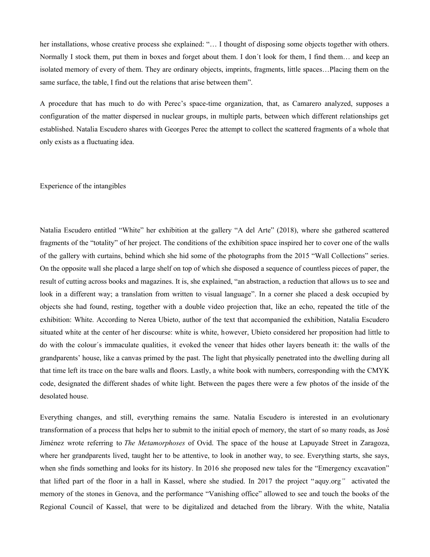her installations, whose creative process she explained: "... I thought of disposing some objects together with others. Normally I stock them, put them in boxes and forget about them. I don´t look for them, I find them… and keep an isolated memory of every of them. They are ordinary objects, imprints, fragments, little spaces…Placing them on the same surface, the table, I find out the relations that arise between them".

A procedure that has much to do with Perec's space-time organization, that, as Camarero analyzed, supposes a configuration of the matter dispersed in nuclear groups, in multiple parts, between which different relationships get established. Natalia Escudero shares with Georges Perec the attempt to collect the scattered fragments of a whole that only exists as a fluctuating idea.

## Experience of the intangibles

Natalia Escudero entitled "White" her exhibition at the gallery "A del Arte" (2018), where she gathered scattered fragments of the "totality" of her project. The conditions of the exhibition space inspired her to cover one of the walls of the gallery with curtains, behind which she hid some of the photographs from the 2015 "Wall Collections" series. On the opposite wall she placed a large shelf on top of which she disposed a sequence of countless pieces of paper, the result of cutting across books and magazines. It is, she explained, "an abstraction, a reduction that allows us to see and look in a different way; a translation from written to visual language". In a corner she placed a desk occupied by objects she had found, resting, together with a double video projection that, like an echo, repeated the title of the exhibition: White. According to Nerea Ubieto, author of the text that accompanied the exhibition, Natalia Escudero situated white at the center of her discourse: white is white, however, Ubieto considered her proposition had little to do with the colour´s immaculate qualities, it evoked the veneer that hides other layers beneath it: the walls of the grandparents' house, like a canvas primed by the past. The light that physically penetrated into the dwelling during all that time left its trace on the bare walls and floors. Lastly, a white book with numbers, corresponding with the CMYK code, designated the different shades of white light. Between the pages there were a few photos of the inside of the desolated house.

Everything changes, and still, everything remains the same. Natalia Escudero is interested in an evolutionary transformation of a process that helps her to submit to the initial epoch of memory, the start of so many roads, as Jose Jimenez wrote referring to *The Metamorphoses* of Ovid. The space of the house at Lapuyade Street in Zaragoza, where her grandparents lived, taught her to be attentive, to look in another way, to see. Everything starts, she says, when she finds something and looks for its history. In 2016 she proposed new tales for the "Emergency excavation" that lifted part of the floor in a hall in Kassel, where she studied. In 2017 the project "aquy.org*"* activated the memory of the stones in Genova, and the performance "Vanishing office" allowed to see and touch the books of the Regional Council of Kassel, that were to be digitalized and detached from the library. With the white, Natalia